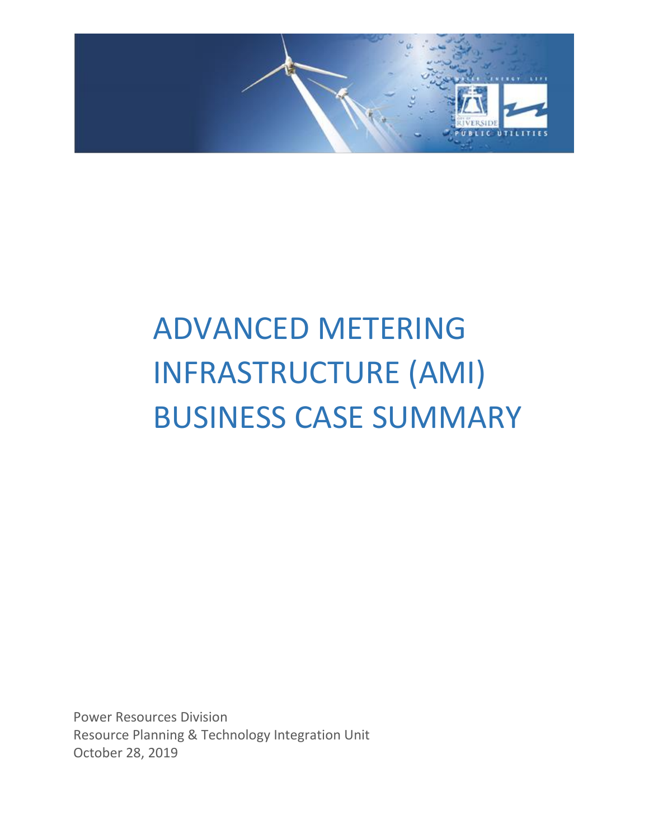

# ADVANCED METERING INFRASTRUCTURE (AMI) BUSINESS CASE SUMMARY

Power Resources Division Resource Planning & Technology Integration Unit October 28, 2019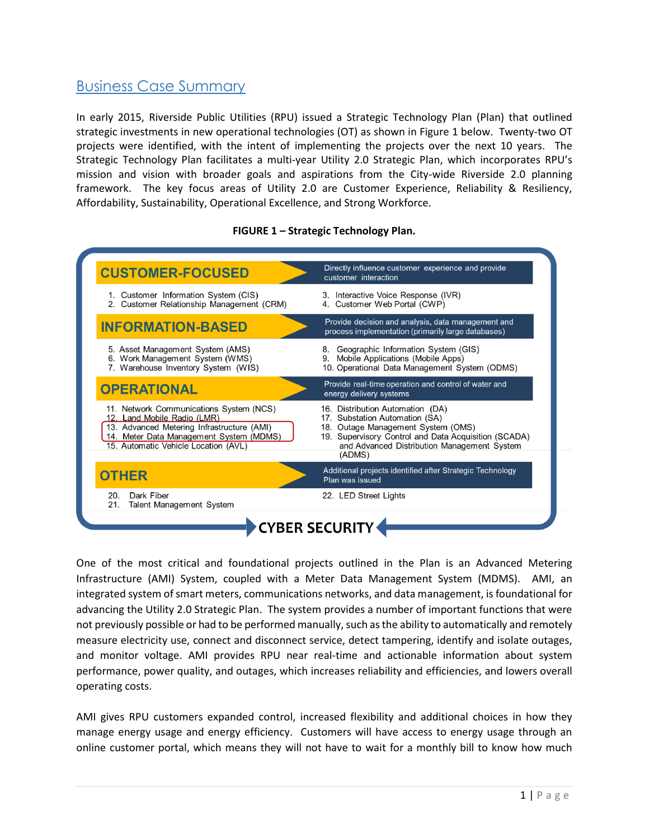# Business Case Summary

In early 2015, Riverside Public Utilities (RPU) issued a Strategic Technology Plan (Plan) that outlined strategic investments in new operational technologies (OT) as shown in Figure 1 below. Twenty-two OT projects were identified, with the intent of implementing the projects over the next 10 years. The Strategic Technology Plan facilitates a multi-year Utility 2.0 Strategic Plan, which incorporates RPU's mission and vision with broader goals and aspirations from the City-wide Riverside 2.0 planning framework. The key focus areas of Utility 2.0 are Customer Experience, Reliability & Resiliency, Affordability, Sustainability, Operational Excellence, and Strong Workforce.

#### **FIGURE 1 – Strategic Technology Plan.**



One of the most critical and foundational projects outlined in the Plan is an Advanced Metering Infrastructure (AMI) System, coupled with a Meter Data Management System (MDMS). AMI, an integrated system of smart meters, communications networks, and data management, is foundational for advancing the Utility 2.0 Strategic Plan. The system provides a number of important functions that were not previously possible or had to be performed manually, such as the ability to automatically and remotely measure electricity use, connect and disconnect service, detect tampering, identify and isolate outages, and monitor voltage. AMI provides RPU near real-time and actionable information about system performance, power quality, and outages, which increases reliability and efficiencies, and lowers overall operating costs.

AMI gives RPU customers expanded control, increased flexibility and additional choices in how they manage energy usage and energy efficiency. Customers will have access to energy usage through an online customer portal, which means they will not have to wait for a monthly bill to know how much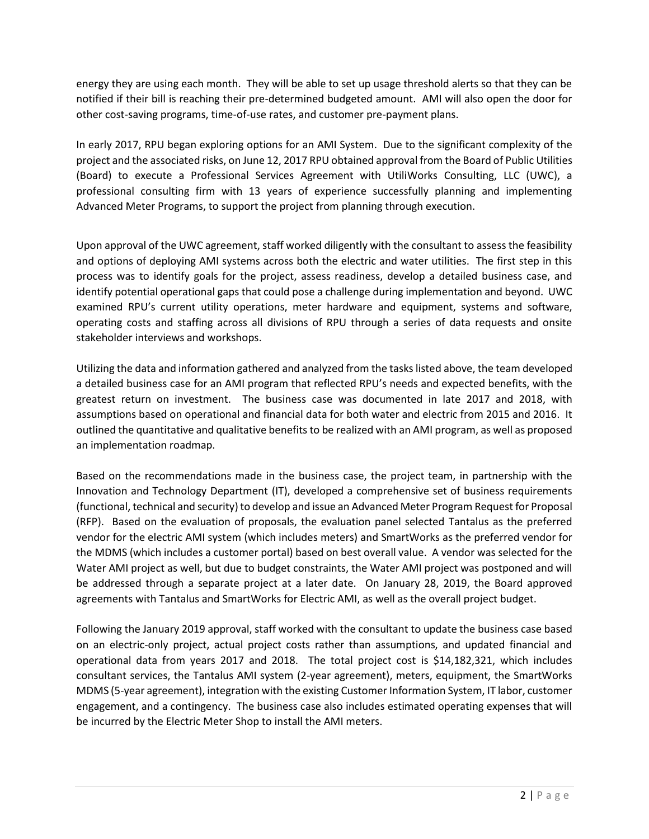energy they are using each month. They will be able to set up usage threshold alerts so that they can be notified if their bill is reaching their pre-determined budgeted amount. AMI will also open the door for other cost-saving programs, time-of-use rates, and customer pre-payment plans.

In early 2017, RPU began exploring options for an AMI System. Due to the significant complexity of the project and the associated risks, on June 12, 2017 RPU obtained approval from the Board of Public Utilities (Board) to execute a Professional Services Agreement with UtiliWorks Consulting, LLC (UWC), a professional consulting firm with 13 years of experience successfully planning and implementing Advanced Meter Programs, to support the project from planning through execution.

Upon approval of the UWC agreement, staff worked diligently with the consultant to assess the feasibility and options of deploying AMI systems across both the electric and water utilities. The first step in this process was to identify goals for the project, assess readiness, develop a detailed business case, and identify potential operational gaps that could pose a challenge during implementation and beyond. UWC examined RPU's current utility operations, meter hardware and equipment, systems and software, operating costs and staffing across all divisions of RPU through a series of data requests and onsite stakeholder interviews and workshops.

Utilizing the data and information gathered and analyzed from the tasks listed above, the team developed a detailed business case for an AMI program that reflected RPU's needs and expected benefits, with the greatest return on investment. The business case was documented in late 2017 and 2018, with assumptions based on operational and financial data for both water and electric from 2015 and 2016. It outlined the quantitative and qualitative benefits to be realized with an AMI program, as well as proposed an implementation roadmap.

Based on the recommendations made in the business case, the project team, in partnership with the Innovation and Technology Department (IT), developed a comprehensive set of business requirements (functional, technical and security) to develop and issue an Advanced Meter Program Request for Proposal (RFP). Based on the evaluation of proposals, the evaluation panel selected Tantalus as the preferred vendor for the electric AMI system (which includes meters) and SmartWorks as the preferred vendor for the MDMS (which includes a customer portal) based on best overall value. A vendor was selected for the Water AMI project as well, but due to budget constraints, the Water AMI project was postponed and will be addressed through a separate project at a later date. On January 28, 2019, the Board approved agreements with Tantalus and SmartWorks for Electric AMI, as well as the overall project budget.

Following the January 2019 approval, staff worked with the consultant to update the business case based on an electric-only project, actual project costs rather than assumptions, and updated financial and operational data from years 2017 and 2018. The total project cost is \$14,182,321, which includes consultant services, the Tantalus AMI system (2-year agreement), meters, equipment, the SmartWorks MDMS (5-year agreement), integration with the existing Customer Information System, IT labor, customer engagement, and a contingency. The business case also includes estimated operating expenses that will be incurred by the Electric Meter Shop to install the AMI meters.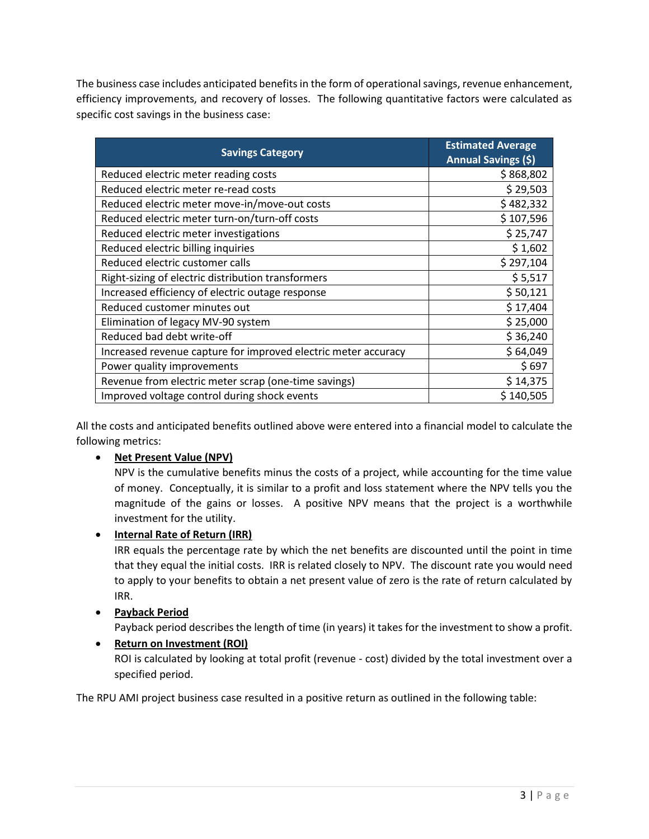The business case includes anticipated benefits in the form of operational savings, revenue enhancement, efficiency improvements, and recovery of losses. The following quantitative factors were calculated as specific cost savings in the business case:

| <b>Savings Category</b>                                        | <b>Estimated Average</b><br><b>Annual Savings (\$)</b> |
|----------------------------------------------------------------|--------------------------------------------------------|
| Reduced electric meter reading costs                           | \$868,802                                              |
| Reduced electric meter re-read costs                           | \$29,503                                               |
| Reduced electric meter move-in/move-out costs                  | \$482,332                                              |
| Reduced electric meter turn-on/turn-off costs                  | \$107,596                                              |
| Reduced electric meter investigations                          | \$25,747                                               |
| Reduced electric billing inquiries                             | \$1,602                                                |
| Reduced electric customer calls                                | \$297,104                                              |
| Right-sizing of electric distribution transformers             | \$5,517                                                |
| Increased efficiency of electric outage response               | \$50,121                                               |
| Reduced customer minutes out                                   | \$17,404                                               |
| Elimination of legacy MV-90 system                             | \$25,000                                               |
| Reduced bad debt write-off                                     | \$36,240                                               |
| Increased revenue capture for improved electric meter accuracy | \$64,049                                               |
| Power quality improvements                                     | \$697                                                  |
| Revenue from electric meter scrap (one-time savings)           | \$14,375                                               |
| Improved voltage control during shock events                   | \$140,505                                              |

All the costs and anticipated benefits outlined above were entered into a financial model to calculate the following metrics:

## **Net Present Value (NPV)**

NPV is the cumulative benefits minus the costs of a project, while accounting for the time value of money. Conceptually, it is similar to a profit and loss statement where the NPV tells you the magnitude of the gains or losses. A positive NPV means that the project is a worthwhile investment for the utility.

## **Internal Rate of Return (IRR)**

IRR equals the percentage rate by which the net benefits are discounted until the point in time that they equal the initial costs. IRR is related closely to NPV. The discount rate you would need to apply to your benefits to obtain a net present value of zero is the rate of return calculated by IRR.

## **Payback Period**

Payback period describes the length of time (in years) it takes for the investment to show a profit.

#### **Return on Investment (ROI)**

ROI is calculated by looking at total profit (revenue - cost) divided by the total investment over a specified period.

The RPU AMI project business case resulted in a positive return as outlined in the following table: